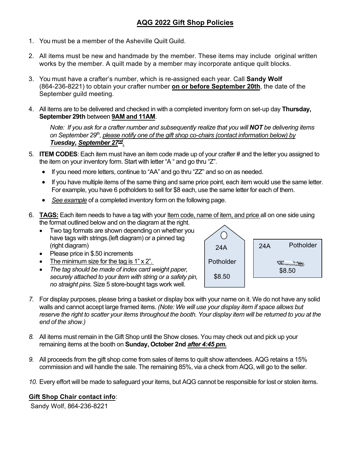## **AQG 2022 Gift Shop Policies**

- 1. You must be a member of the Asheville Quilt Guild.
- 2. All items must be new and handmade by the member. These items may include original written works by the member. A quilt made by a member may incorporate antique quilt blocks.
- 3. You must have a crafter's number, which is re-assigned each year. Call **Sandy Wolf** (864-236-8221) to obtain your crafter number **on or before September 20th**, the date of the September guild meeting.
- 4. All items are to be delivered and checked in with a completed inventory form on set-up day **Thursday, September 29th** between **9AM and 11AM**.

*Note: If you ask for a crafter number and subsequently realize that you will NOT be delivering items on September 29th , please notify one of the gift shop co-chairs (contact information below) by Tuesday, September 27 nd .*

- 5. **ITEM CODES**: Each item must have an item code made up of your crafter # and the letter you assigned to the item on your inventory form. Start with letter "A " and go thru "Z".
	- If you need more letters, continue to "AA" and go thru "ZZ" and so on as needed.
	- If you have multiple items of the same thing and same price point, each item would use the same letter. For example, you have 6 potholders to sell for \$8 each, use the same letter for each of them.
	- *See example* of a completed inventory form on the following page.
- 6. **TAGS:** Each item needs to have a tag with your Item code, name of item, and price all on one side using the format outlined below and on the diagram at the right.
	- Two tag formats are shown depending on whether you have tags with strings.(left diagram) or a pinned tag (right diagram)
	- Please price in \$.50 increments
	- The minimum size for the tag is  $1" \times 2"$ .
	- *The tag should be made of index card weight paper, securely attached to your item with string or a safety pin, no straight pins.* Size 5 store-bought tags work well.



- *7.* For display purposes, please bring a basket or display box with your name on it. We do not have any solid walls and cannot accept large framed items. *(Note: We will use your display item if space allows but reserve the right to scatter your items throughout the booth. Your display item will be returned to you at the end of the show.)*
- *8.* All items must remain in the Gift Shop until the Show closes. You may check out and pick up your remaining items at the booth on **Sunday, October 2nd** *after 4:45 pm.*
- *9.* All proceeds from the gift shop come from sales of items to quilt show attendees. AQG retains a 15% commission and will handle the sale. The remaining 85%, via a check from AQG, will go to the seller.
- *10.* Every effort will be made to safeguard your items, but AQG cannot be responsible for lost or stolen items.

## **Gift Shop Chair contact info**:

Sandy Wolf, 864-236-8221